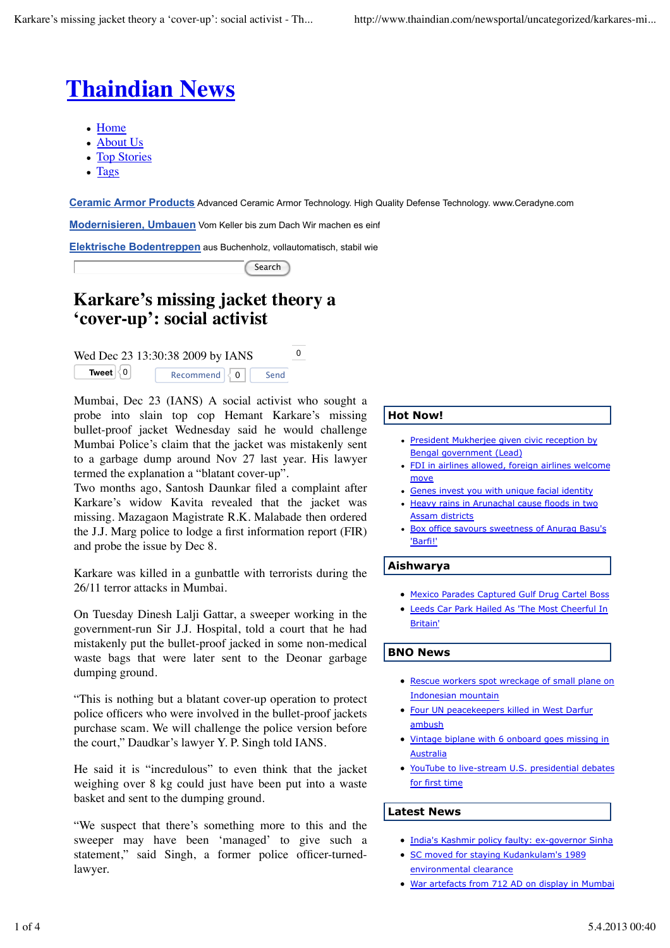# **Thaindian News**

- Home
- About Us
- Top Stories
- Tags

J

**Ceramic Armor Products** Advanced Ceramic Armor Technology. High Quality Defense Technology. www.Ceradyne.com

**Modernisieren, Umbauen** Vom Keller bis zum Dach Wir machen es einf

**Elektrische Bodentreppen** aus Buchenholz, vollautomatisch, stabil wie

Search

## **Karkare's missing jacket theory a 'cover-up': social activist**

Wed Dec 23 13:30:38 2009 by IANS  $^{0}$ **Tweet**  $\begin{bmatrix} 0 \\ 0 \end{bmatrix}$ Recommend  $\overline{0}$  Send

Mumbai, Dec 23 (IANS) A social activist who sought a probe into slain top cop Hemant Karkare's missing bullet-proof jacket Wednesday said he would challenge Mumbai Police's claim that the jacket was mistakenly sent to a garbage dump around Nov 27 last year. His lawyer termed the explanation a "blatant cover-up".

Two months ago, Santosh Daunkar filed a complaint after Karkare's widow Kavita revealed that the jacket was missing. Mazagaon Magistrate R.K. Malabade then ordered the J.J. Marg police to lodge a first information report (FIR) and probe the issue by Dec 8.

Karkare was killed in a gunbattle with terrorists during the 26/11 terror attacks in Mumbai.

On Tuesday Dinesh Lalji Gattar, a sweeper working in the government-run Sir J.J. Hospital, told a court that he had mistakenly put the bullet-proof jacked in some non-medical waste bags that were later sent to the Deonar garbage dumping ground.

"This is nothing but a blatant cover-up operation to protect police officers who were involved in the bullet-proof jackets purchase scam. We will challenge the police version before the court," Daudkar's lawyer Y. P. Singh told IANS.

He said it is "incredulous" to even think that the jacket weighing over 8 kg could just have been put into a waste basket and sent to the dumping ground.

"We suspect that there's something more to this and the sweeper may have been 'managed' to give such a statement," said Singh, a former police officer-turnedlawyer.

#### **Hot Now!**

- President Mukherjee given civic reception by Bengal government (Lead)
- FDI in airlines allowed, foreign airlines welcome move
- Genes invest you with unique facial identity
- Heavy rains in Arunachal cause floods in two Assam districts
- Box office savours sweetness of Anurag Basu's  $\bullet$ 'Barfi!'

#### **Aishwarya**

- Mexico Parades Captured Gulf Drug Cartel Boss
- Leeds Car Park Hailed As 'The Most Cheerful In Britain'

#### **BNO News**

- Rescue workers spot wreckage of small plane on Indonesian mountain
- **Four UN peacekeepers killed in West Darfur** ambush
- Vintage biplane with 6 onboard goes missing in **Australia**
- YouTube to live-stream U.S. presidential debates for first time

#### **Latest News**

- India's Kashmir policy faulty: ex-governor Sinha
- SC moved for staying Kudankulam's 1989 environmental clearance
- War artefacts from 712 AD on display in Mumbai